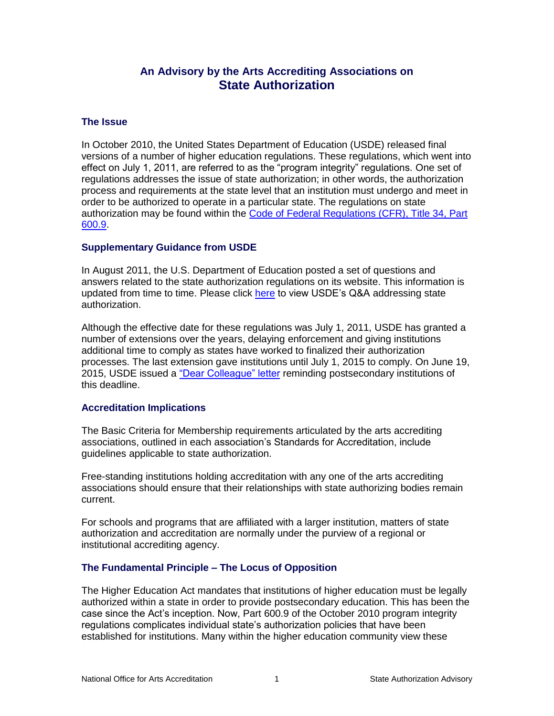# **An Advisory by the Arts Accrediting Associations on State Authorization**

#### **The Issue**

In October 2010, the United States Department of Education (USDE) released final versions of a number of higher education regulations. These regulations, which went into effect on July 1, 2011, are referred to as the "program integrity" regulations. One set of regulations addresses the issue of state authorization; in other words, the authorization process and requirements at the state level that an institution must undergo and meet in order to be authorized to operate in a particular state. The regulations on state authorization may be found within the [Code of Federal Regulations \(CFR\), Title 34, Part](http://www.ecfr.gov/cgi-bin/text-idx?SID=7393504cbbae4285f435278cbba5bac9&mc=true&node=pt34.3.600&rgn=div5#se34.3.600_19)  [600.9.](http://www.ecfr.gov/cgi-bin/text-idx?SID=7393504cbbae4285f435278cbba5bac9&mc=true&node=pt34.3.600&rgn=div5#se34.3.600_19)

#### **Supplementary Guidance from USDE**

In August 2011, the U.S. Department of Education posted a set of questions and answers related to the state authorization regulations on its website. This information is updated from time to time. Please click [here](http://www2.ed.gov/policy/highered/reg/hearulemaking/2009/sa.html) to view USDE's Q&A addressing state authorization.

Although the effective date for these regulations was July 1, 2011, USDE has granted a number of extensions over the years, delaying enforcement and giving institutions additional time to comply as states have worked to finalized their authorization processes. The last extension gave institutions until July 1, 2015 to comply. On June 19, 2015, USDE issued a ["Dear Colleague" letter](http://www.ifap.ed.gov/dpcletters/GEN1510.html) reminding postsecondary institutions of this deadline.

#### **Accreditation Implications**

The Basic Criteria for Membership requirements articulated by the arts accrediting associations, outlined in each association's Standards for Accreditation, include guidelines applicable to state authorization.

Free-standing institutions holding accreditation with any one of the arts accrediting associations should ensure that their relationships with state authorizing bodies remain current.

For schools and programs that are affiliated with a larger institution, matters of state authorization and accreditation are normally under the purview of a regional or institutional accrediting agency.

# **The Fundamental Principle – The Locus of Opposition**

The Higher Education Act mandates that institutions of higher education must be legally authorized within a state in order to provide postsecondary education. This has been the case since the Act's inception. Now, Part 600.9 of the October 2010 program integrity regulations complicates individual state's authorization policies that have been established for institutions. Many within the higher education community view these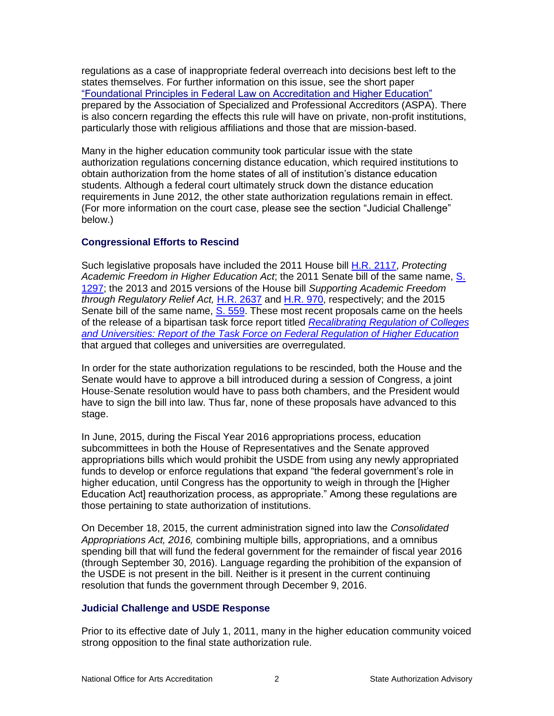regulations as a case of inappropriate federal overreach into decisions best left to the states themselves. For further information on this issue, see the short paper ["Foundational Principles in Federal Law on Accreditation and Higher Education"](http://www.aspa-usa.org/sites/default/files/Federal%20Principles%20and%20Accreditation.pdf) prepared by the Association of Specialized and Professional Accreditors (ASPA). There is also concern regarding the effects this rule will have on private, non-profit institutions, particularly those with religious affiliations and those that are mission-based.

Many in the higher education community took particular issue with the state authorization regulations concerning distance education, which required institutions to obtain authorization from the home states of all of institution's distance education students. Although a federal court ultimately struck down the distance education requirements in June 2012, the other state authorization regulations remain in effect. (For more information on the court case, please see the section "Judicial Challenge" below.)

# **Congressional Efforts to Rescind**

Such legislative proposals have included the 2011 House bill [H.R. 2117,](https://www.govtrack.us/congress/bills/112/hr2117) *Protecting Academic Freedom in Higher Education Act*; the 2011 Senate bill of the same name, [S.](https://www.govtrack.us/congress/bills/112/s1297)  [1297;](https://www.govtrack.us/congress/bills/112/s1297) the 2013 and 2015 versions of the House bill *Supporting Academic Freedom through Regulatory Relief Act,* [H.R. 2637](https://www.govtrack.us/congress/bills/113/hr2637) and [H.R. 970,](https://www.govtrack.us/congress/bills/114/hr970) respectively; and the 2015 Senate bill of the same name, [S. 559.](https://www.govtrack.us/congress/bills/114/s559) These most recent proposals came on the heels of the release of a bipartisan task force report titled *[Recalibrating Regulation of Colleges](http://www.help.senate.gov/imo/media/Regulations_Task_Force_Report_2015_FINAL.pdf)  [and Universities: Report of the Task Force on Federal Regulation of Higher Education](http://www.help.senate.gov/imo/media/Regulations_Task_Force_Report_2015_FINAL.pdf)* that argued that colleges and universities are overregulated.

In order for the state authorization regulations to be rescinded, both the House and the Senate would have to approve a bill introduced during a session of Congress, a joint House-Senate resolution would have to pass both chambers, and the President would have to sign the bill into law. Thus far, none of these proposals have advanced to this stage.

In June, 2015, during the Fiscal Year 2016 appropriations process, education subcommittees in both the House of Representatives and the Senate approved appropriations bills which would prohibit the USDE from using any newly appropriated funds to develop or enforce regulations that expand "the federal government's role in higher education, until Congress has the opportunity to weigh in through the [Higher Education Act] reauthorization process, as appropriate." Among these regulations are those pertaining to state authorization of institutions.

On December 18, 2015, the current administration signed into law the *Consolidated Appropriations Act, 2016,* combining multiple bills, appropriations, and a omnibus spending bill that will fund the federal government for the remainder of fiscal year 2016 (through September 30, 2016). Language regarding the prohibition of the expansion of the USDE is not present in the bill. Neither is it present in the current continuing resolution that funds the government through December 9, 2016.

# **Judicial Challenge and USDE Response**

Prior to its effective date of July 1, 2011, many in the higher education community voiced strong opposition to the final state authorization rule.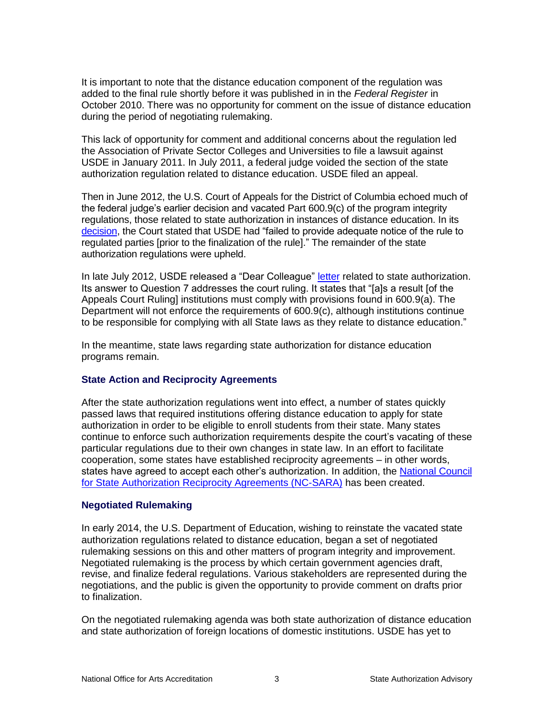It is important to note that the distance education component of the regulation was added to the final rule shortly before it was published in in the *Federal Register* in October 2010. There was no opportunity for comment on the issue of distance education during the period of negotiating rulemaking.

This lack of opportunity for comment and additional concerns about the regulation led the Association of Private Sector Colleges and Universities to file a lawsuit against USDE in January 2011. In July 2011, a federal judge voided the section of the state authorization regulation related to distance education. USDE filed an appeal.

Then in June 2012, the U.S. Court of Appeals for the District of Columbia echoed much of the federal judge's earlier decision and vacated Part 600.9(c) of the program integrity regulations, those related to state authorization in instances of distance education. In its [decision,](http://www.cadc.uscourts.gov/internet/opinions.nsf/969CEC5FCB92F81685257A14004F3131/$file/11-5174-1377087.pdf) the Court stated that USDE had "failed to provide adequate notice of the rule to regulated parties [prior to the finalization of the rule]." The remainder of the state authorization regulations were upheld.

In late July 2012, USDE released a "Dear Colleague" [letter](http://ifap.ed.gov/dpcletters/attachments/GEN1213Attach.pdf) related to state authorization. Its answer to Question 7 addresses the court ruling. It states that "[a]s a result [of the Appeals Court Ruling] institutions must comply with provisions found in 600.9(a). The Department will not enforce the requirements of 600.9(c), although institutions continue to be responsible for complying with all State laws as they relate to distance education."

In the meantime, state laws regarding state authorization for distance education programs remain.

# **State Action and Reciprocity Agreements**

After the state authorization regulations went into effect, a number of states quickly passed laws that required institutions offering distance education to apply for state authorization in order to be eligible to enroll students from their state. Many states continue to enforce such authorization requirements despite the court's vacating of these particular regulations due to their own changes in state law. In an effort to facilitate cooperation, some states have established reciprocity agreements – in other words, states have agreed to accept each other's authorization. In addition, the National Council [for State Authorization Reciprocity Agreements \(NC-SARA\)](http://nc-sara.org/) has been created.

# **Negotiated Rulemaking**

In early 2014, the U.S. Department of Education, wishing to reinstate the vacated state authorization regulations related to distance education, began a set of negotiated rulemaking sessions on this and other matters of program integrity and improvement. Negotiated rulemaking is the process by which certain government agencies draft, revise, and finalize federal regulations. Various stakeholders are represented during the negotiations, and the public is given the opportunity to provide comment on drafts prior to finalization.

On the negotiated rulemaking agenda was both state authorization of distance education and state authorization of foreign locations of domestic institutions. USDE has yet to